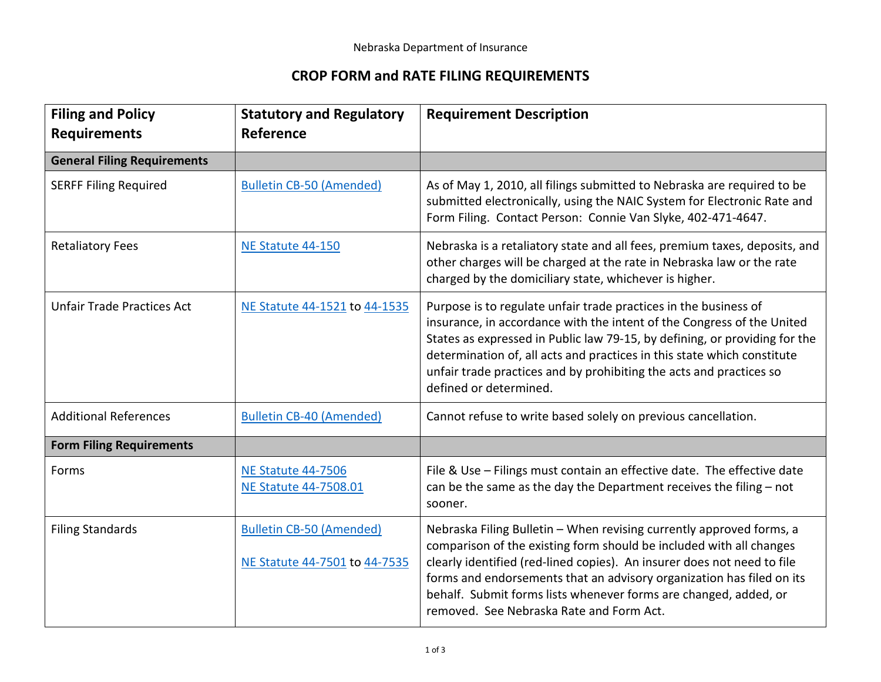## **CROP FORM and RATE FILING REQUIREMENTS**

| <b>Filing and Policy</b><br><b>Requirements</b> | <b>Statutory and Regulatory</b><br>Reference                     | <b>Requirement Description</b>                                                                                                                                                                                                                                                                                                                                                                                  |
|-------------------------------------------------|------------------------------------------------------------------|-----------------------------------------------------------------------------------------------------------------------------------------------------------------------------------------------------------------------------------------------------------------------------------------------------------------------------------------------------------------------------------------------------------------|
| <b>General Filing Requirements</b>              |                                                                  |                                                                                                                                                                                                                                                                                                                                                                                                                 |
| <b>SERFF Filing Required</b>                    | <b>Bulletin CB-50 (Amended)</b>                                  | As of May 1, 2010, all filings submitted to Nebraska are required to be<br>submitted electronically, using the NAIC System for Electronic Rate and<br>Form Filing. Contact Person: Connie Van Slyke, 402-471-4647.                                                                                                                                                                                              |
| <b>Retaliatory Fees</b>                         | NE Statute 44-150                                                | Nebraska is a retaliatory state and all fees, premium taxes, deposits, and<br>other charges will be charged at the rate in Nebraska law or the rate<br>charged by the domiciliary state, whichever is higher.                                                                                                                                                                                                   |
| <b>Unfair Trade Practices Act</b>               | NE Statute 44-1521 to 44-1535                                    | Purpose is to regulate unfair trade practices in the business of<br>insurance, in accordance with the intent of the Congress of the United<br>States as expressed in Public law 79-15, by defining, or providing for the<br>determination of, all acts and practices in this state which constitute<br>unfair trade practices and by prohibiting the acts and practices so<br>defined or determined.            |
| <b>Additional References</b>                    | <b>Bulletin CB-40 (Amended)</b>                                  | Cannot refuse to write based solely on previous cancellation.                                                                                                                                                                                                                                                                                                                                                   |
| <b>Form Filing Requirements</b>                 |                                                                  |                                                                                                                                                                                                                                                                                                                                                                                                                 |
| Forms                                           | <b>NE Statute 44-7506</b><br><b>NE Statute 44-7508.01</b>        | File & Use - Filings must contain an effective date. The effective date<br>can be the same as the day the Department receives the filing - not<br>sooner.                                                                                                                                                                                                                                                       |
| <b>Filing Standards</b>                         | <b>Bulletin CB-50 (Amended)</b><br>NE Statute 44-7501 to 44-7535 | Nebraska Filing Bulletin - When revising currently approved forms, a<br>comparison of the existing form should be included with all changes<br>clearly identified (red-lined copies). An insurer does not need to file<br>forms and endorsements that an advisory organization has filed on its<br>behalf. Submit forms lists whenever forms are changed, added, or<br>removed. See Nebraska Rate and Form Act. |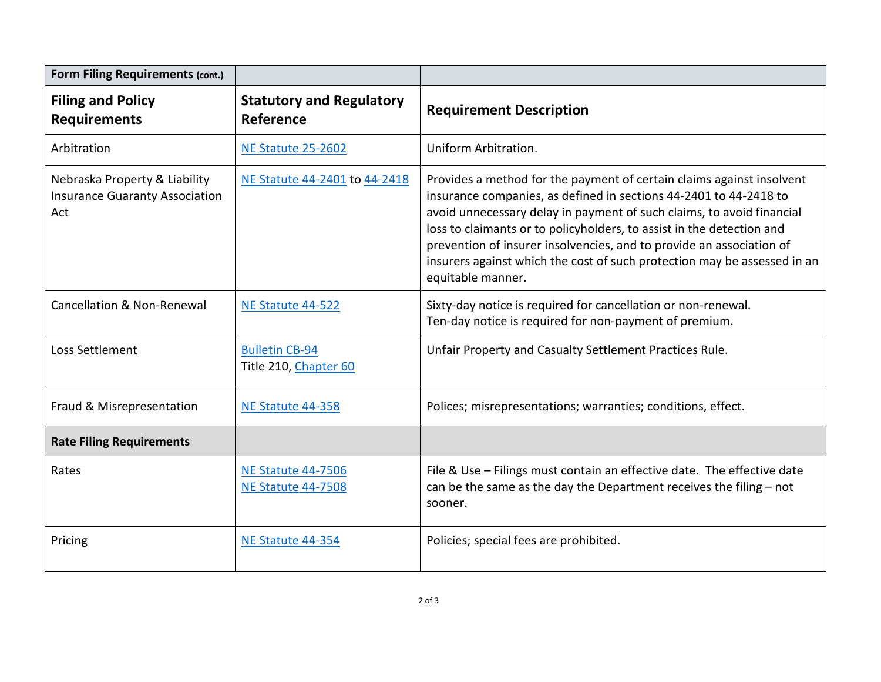| <b>Form Filing Requirements (cont.)</b>                                       |                                                        |                                                                                                                                                                                                                                                                                                                                                                                                                                                                       |
|-------------------------------------------------------------------------------|--------------------------------------------------------|-----------------------------------------------------------------------------------------------------------------------------------------------------------------------------------------------------------------------------------------------------------------------------------------------------------------------------------------------------------------------------------------------------------------------------------------------------------------------|
| <b>Filing and Policy</b><br><b>Requirements</b>                               | <b>Statutory and Regulatory</b><br>Reference           | <b>Requirement Description</b>                                                                                                                                                                                                                                                                                                                                                                                                                                        |
| Arbitration                                                                   | <b>NE Statute 25-2602</b>                              | Uniform Arbitration.                                                                                                                                                                                                                                                                                                                                                                                                                                                  |
| Nebraska Property & Liability<br><b>Insurance Guaranty Association</b><br>Act | NE Statute 44-2401 to 44-2418                          | Provides a method for the payment of certain claims against insolvent<br>insurance companies, as defined in sections 44-2401 to 44-2418 to<br>avoid unnecessary delay in payment of such claims, to avoid financial<br>loss to claimants or to policyholders, to assist in the detection and<br>prevention of insurer insolvencies, and to provide an association of<br>insurers against which the cost of such protection may be assessed in an<br>equitable manner. |
| <b>Cancellation &amp; Non-Renewal</b>                                         | NE Statute 44-522                                      | Sixty-day notice is required for cancellation or non-renewal.<br>Ten-day notice is required for non-payment of premium.                                                                                                                                                                                                                                                                                                                                               |
| Loss Settlement                                                               | <b>Bulletin CB-94</b><br>Title 210, Chapter 60         | Unfair Property and Casualty Settlement Practices Rule.                                                                                                                                                                                                                                                                                                                                                                                                               |
| Fraud & Misrepresentation                                                     | NE Statute 44-358                                      | Polices; misrepresentations; warranties; conditions, effect.                                                                                                                                                                                                                                                                                                                                                                                                          |
| <b>Rate Filing Requirements</b>                                               |                                                        |                                                                                                                                                                                                                                                                                                                                                                                                                                                                       |
| Rates                                                                         | <b>NE Statute 44-7506</b><br><b>NE Statute 44-7508</b> | File & Use - Filings must contain an effective date. The effective date<br>can be the same as the day the Department receives the filing - not<br>sooner.                                                                                                                                                                                                                                                                                                             |
| Pricing                                                                       | NE Statute 44-354                                      | Policies; special fees are prohibited.                                                                                                                                                                                                                                                                                                                                                                                                                                |